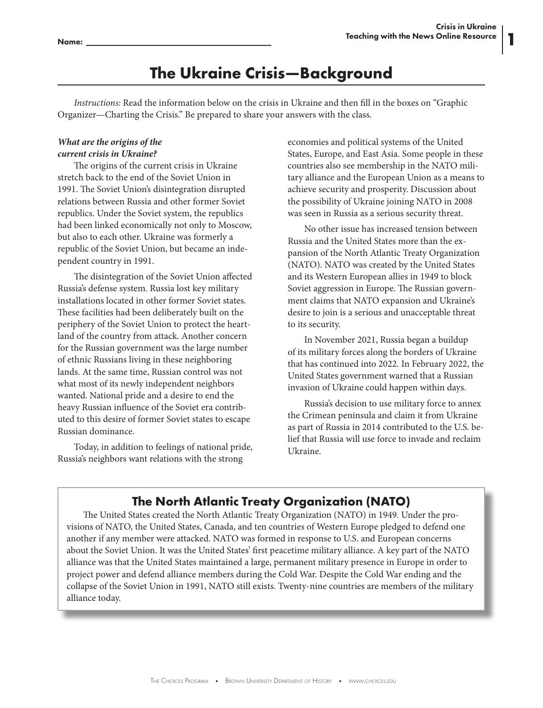**1**

# **The Ukraine Crisis—Background**

*Instructions:* Read the information below on the crisis in Ukraine and then fill in the boxes on "Graphic Organizer—Charting the Crisis." Be prepared to share your answers with the class.

# *What are the origins of the current crisis in Ukraine?*

The origins of the current crisis in Ukraine stretch back to the end of the Soviet Union in 1991. The Soviet Union's disintegration disrupted relations between Russia and other former Soviet republics. Under the Soviet system, the republics had been linked economically not only to Moscow, but also to each other. Ukraine was formerly a republic of the Soviet Union, but became an independent country in 1991.

The disintegration of the Soviet Union affected Russia's defense system. Russia lost key military installations located in other former Soviet states. These facilities had been deliberately built on the periphery of the Soviet Union to protect the heartland of the country from attack. Another concern for the Russian government was the large number of ethnic Russians living in these neighboring lands. At the same time, Russian control was not what most of its newly independent neighbors wanted. National pride and a desire to end the heavy Russian influence of the Soviet era contributed to this desire of former Soviet states to escape Russian dominance.

Today, in addition to feelings of national pride, Russia's neighbors want relations with the strong

economies and political systems of the United States, Europe, and East Asia. Some people in these countries also see membership in the NATO military alliance and the European Union as a means to achieve security and prosperity. Discussion about the possibility of Ukraine joining NATO in 2008 was seen in Russia as a serious security threat.

No other issue has increased tension between Russia and the United States more than the expansion of the North Atlantic Treaty Organization (NATO). NATO was created by the United States and its Western European allies in 1949 to block Soviet aggression in Europe. The Russian government claims that NATO expansion and Ukraine's desire to join is a serious and unacceptable threat to its security.

In November 2021, Russia began a buildup of its military forces along the borders of Ukraine that has continued into 2022. In February 2022, the United States government warned that a Russian invasion of Ukraine could happen within days.

Russia's decision to use military force to annex the Crimean peninsula and claim it from Ukraine as part of Russia in 2014 contributed to the U.S. belief that Russia will use force to invade and reclaim Ukraine.

# **The North Atlantic Treaty Organization (NATO)**

The United States created the North Atlantic Treaty Organization (NATO) in 1949. Under the provisions of NATO, the United States, Canada, and ten countries of Western Europe pledged to defend one another if any member were attacked. NATO was formed in response to U.S. and European concerns about the Soviet Union. It was the United States' first peacetime military alliance. A key part of the NATO alliance was that the United States maintained a large, permanent military presence in Europe in order to project power and defend alliance members during the Cold War. Despite the Cold War ending and the collapse of the Soviet Union in 1991, NATO still exists. Twenty-nine countries are members of the military alliance today.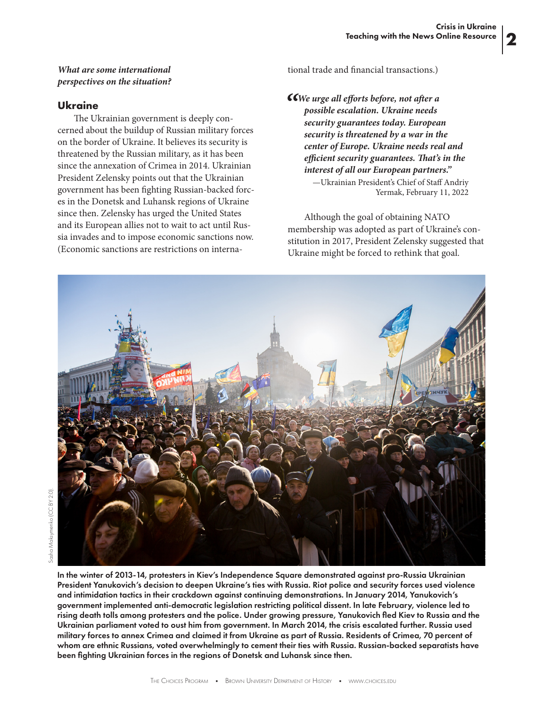**2**

#### *What are some international perspectives on the situation?*

#### **Ukraine**

The Ukrainian government is deeply concerned about the buildup of Russian military forces on the border of Ukraine. It believes its security is threatened by the Russian military, as it has been since the annexation of Crimea in 2014. Ukrainian President Zelensky points out that the Ukrainian government has been fighting Russian-backed forces in the Donetsk and Luhansk regions of Ukraine since then. Zelensky has urged the United States and its European allies not to wait to act until Russia invades and to impose economic sanctions now. (Economic sanctions are restrictions on international trade and financial transactions.)

*"We urge all efforts before, not after a possible escalation. Ukraine needs security guarantees today. European security is threatened by a war in the center of Europe. Ukraine needs real and efficient security guarantees. That's in the interest of all our European partners."* —Ukrainian President's Chief of Staff Andriy Yermak, February 11, 2022

Although the goal of obtaining NATO

membership was adopted as part of Ukraine's constitution in 2017, President Zelensky suggested that Ukraine might be forced to rethink that goal.



In the winter of 2013-14, protesters in Kiev's Independence Square demonstrated against pro-Russia Ukrainian President Yanukovich's decision to deepen Ukraine's ties with Russia. Riot police and security forces used violence and intimidation tactics in their crackdown against continuing demonstrations. In January 2014, Yanukovich's government implemented anti-democratic legislation restricting political dissent. In late February, violence led to rising death tolls among protesters and the police. Under growing pressure, Yanukovich fled Kiev to Russia and the Ukrainian parliament voted to oust him from government. In March 2014, the crisis escalated further. Russia used military forces to annex Crimea and claimed it from Ukraine as part of Russia. Residents of Crimea, 70 percent of whom are ethnic Russians, voted overwhelmingly to cement their ties with Russia. Russian-backed separatists have been fighting Ukrainian forces in the regions of Donetsk and Luhansk since then.